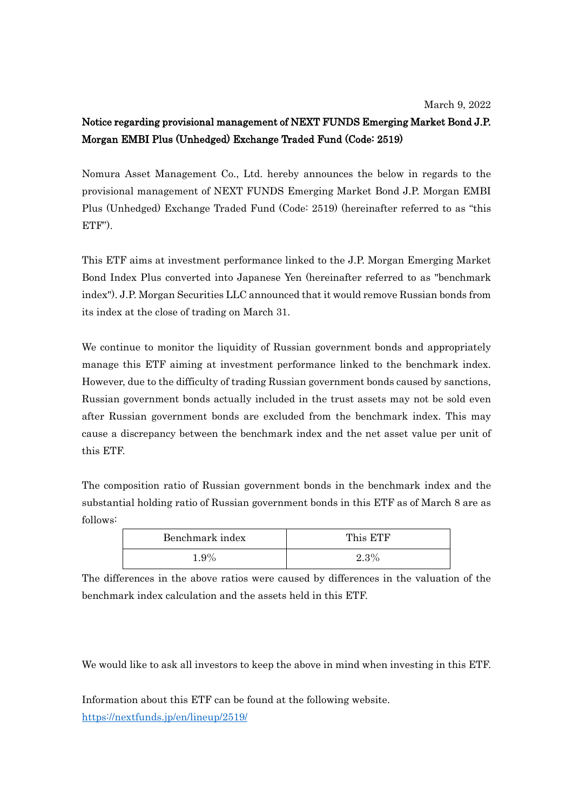## Notice regarding provisional management of NEXT FUNDS Emerging Market Bond J.P. Morgan EMBI Plus (Unhedged) Exchange Traded Fund (Code: 2519)

Nomura Asset Management Co., Ltd. hereby announces the below in regards to the provisional management of NEXT FUNDS Emerging Market Bond J.P. Morgan EMBI Plus (Unhedged) Exchange Traded Fund (Code: 2519) (hereinafter referred to as "this ETF").

This ETF aims at investment performance linked to the J.P. Morgan Emerging Market Bond Index Plus converted into Japanese Yen (hereinafter referred to as "benchmark index"). J.P. Morgan Securities LLC announced that it would remove Russian bonds from its index at the close of trading on March 31.

We continue to monitor the liquidity of Russian government bonds and appropriately manage this ETF aiming at investment performance linked to the benchmark index. However, due to the difficulty of trading Russian government bonds caused by sanctions, Russian government bonds actually included in the trust assets may not be sold even after Russian government bonds are excluded from the benchmark index. This may cause a discrepancy between the benchmark index and the net asset value per unit of this ETF.

The composition ratio of Russian government bonds in the benchmark index and the substantial holding ratio of Russian government bonds in this ETF as of March 8 are as follows:

| Benchmark index | This ETF       |
|-----------------|----------------|
| $1.9\%$         | 9.90<br>4.J 70 |

The differences in the above ratios were caused by differences in the valuation of the benchmark index calculation and the assets held in this ETF.

We would like to ask all investors to keep the above in mind when investing in this ETF.

Information about this ETF can be found at the following website. <https://nextfunds.jp/en/lineup/2519/>